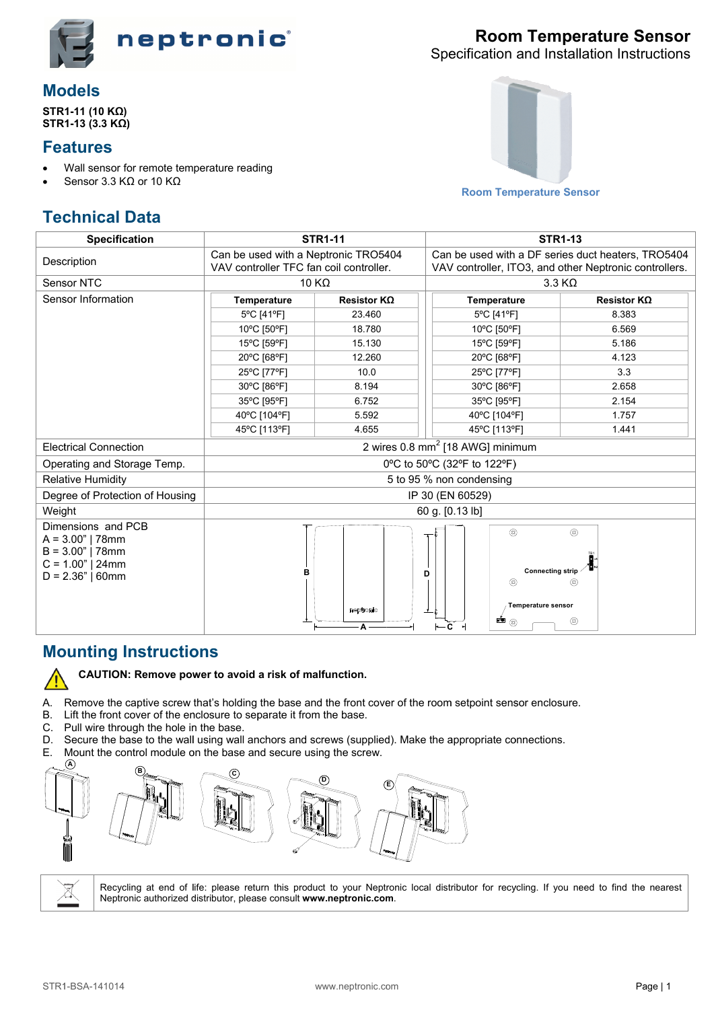

## **Models**

STR1-11 (10 KΩ) STR1-13 (3.3 KΩ)

#### **Features**

- Wall sensor for remote temperature reading
- Sensor 3.3  $K\Omega$  or 10  $K\Omega$



Specification and Installation Instructions



**Room Temperature Sensor** 

# **Technical Data**

| <b>Specification</b>                                                                                       | <b>STR1-11</b>                                                                  |                    | <b>STR1-13</b>                                                                                                    |                                  |  |  |
|------------------------------------------------------------------------------------------------------------|---------------------------------------------------------------------------------|--------------------|-------------------------------------------------------------------------------------------------------------------|----------------------------------|--|--|
| Description                                                                                                | Can be used with a Neptronic TRO5404<br>VAV controller TFC fan coil controller. |                    | Can be used with a DF series duct heaters, TRO5404<br>VAV controller, ITO3, and other Neptronic controllers.      |                                  |  |  |
| Sensor NTC                                                                                                 | 10 K $\Omega$                                                                   |                    | $3.3 K\Omega$                                                                                                     |                                  |  |  |
| Sensor Information                                                                                         | Temperature                                                                     | Resistor $K\Omega$ | <b>Temperature</b>                                                                                                | Resistor $K\Omega$               |  |  |
|                                                                                                            | 5°C [41°F]                                                                      | 23.460             | 5°C [41°F]                                                                                                        | 8.383                            |  |  |
|                                                                                                            | 10°C [50°F]                                                                     | 18.780             | 10°C [50°F]                                                                                                       | 6.569                            |  |  |
|                                                                                                            | 15°C [59°F]                                                                     | 15.130             | 15°C [59°F]                                                                                                       | 5.186                            |  |  |
|                                                                                                            | 20°C [68°F]                                                                     | 12.260             | 20°C [68°F]                                                                                                       | 4.123                            |  |  |
|                                                                                                            | 25°C [77°F]                                                                     | 10.0               | 25°C [77°F]                                                                                                       | 3.3                              |  |  |
|                                                                                                            | 30°C [86°F]                                                                     | 8.194              | 30°C [86°F]                                                                                                       | 2.658                            |  |  |
|                                                                                                            | 35°C [95°F]                                                                     | 6.752              | 35°C [95°F]                                                                                                       | 2.154                            |  |  |
|                                                                                                            | 40°C [104°F]                                                                    | 5.592              | 40°C [104°F]                                                                                                      | 1.757                            |  |  |
|                                                                                                            | 45°C [113°F]                                                                    | 4.655              | 45°C [113°F]                                                                                                      | 1.441                            |  |  |
| <b>Electrical Connection</b>                                                                               | 2 wires 0.8 mm <sup>2</sup> [18 AWG] minimum                                    |                    |                                                                                                                   |                                  |  |  |
| Operating and Storage Temp.                                                                                | 0°C to 50°C (32°F to 122°F)                                                     |                    |                                                                                                                   |                                  |  |  |
| <b>Relative Humidity</b>                                                                                   | 5 to 95 % non condensing                                                        |                    |                                                                                                                   |                                  |  |  |
| Degree of Protection of Housing                                                                            | IP 30 (EN 60529)                                                                |                    |                                                                                                                   |                                  |  |  |
| Weight                                                                                                     | 60 g. [0.13 lb]                                                                 |                    |                                                                                                                   |                                  |  |  |
| Dimensions and PCB<br>$A = 3.00"$   78mm<br>$B = 3.00"$   78mm<br>$C = 1.00"$   24mm<br>$D = 2.36"   60mm$ | в                                                                               | neotronic<br>А     | $^{\circledR}$<br><b>Connecting strip</b><br>D<br>ඹ<br>Temperature sensor<br>$\blacksquare$<br>$\vdash$ c $\lnot$ | $^\circledR$<br>@<br>$\circledR$ |  |  |

#### **Mounting Instructions**



CAUTION: Remove power to avoid a risk of malfunction.

A. Remove the captive screw that's holding the base and the front cover of the room setpoint sensor enclosure.

- B. Lift the front cover of the enclosure to separate it from the base.
- C. Pull wire through the hole in the base.
- Secure the base to the wall using wall anchors and screws (supplied). Make the appropriate connections. D.
- Ε. Mount the control module on the base and secure using the screw.



Ă.

Recycling at end of life: please return this product to your Neptronic local distributor for recycling. If you need to find the nearest Neptronic authorized distributor, please consult www.neptronic.com.